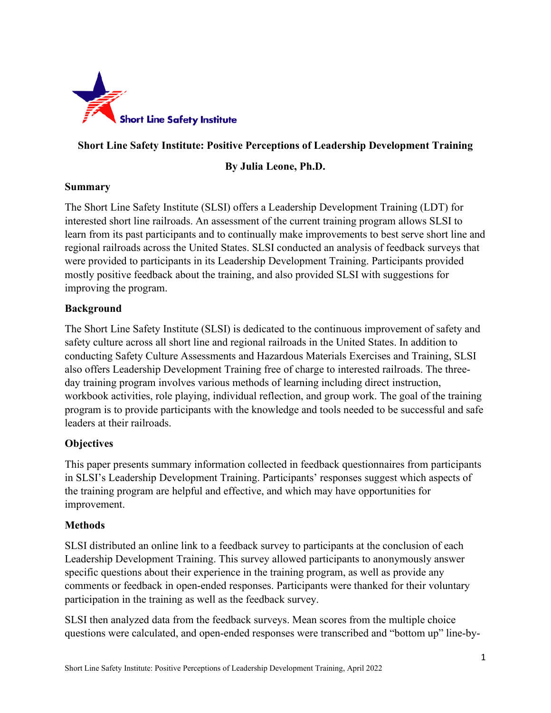

# **Short Line Safety Institute: Positive Perceptions of Leadership Development Training**

## **By Julia Leone, Ph.D.**

#### **Summary**

The Short Line Safety Institute (SLSI) offers a Leadership Development Training (LDT) for interested short line railroads. An assessment of the current training program allows SLSI to learn from its past participants and to continually make improvements to best serve short line and regional railroads across the United States. SLSI conducted an analysis of feedback surveys that were provided to participants in its Leadership Development Training. Participants provided mostly positive feedback about the training, and also provided SLSI with suggestions for improving the program.

#### **Background**

The Short Line Safety Institute (SLSI) is dedicated to the continuous improvement of safety and safety culture across all short line and regional railroads in the United States. In addition to conducting Safety Culture Assessments and Hazardous Materials Exercises and Training, SLSI also offers Leadership Development Training free of charge to interested railroads. The threeday training program involves various methods of learning including direct instruction, workbook activities, role playing, individual reflection, and group work. The goal of the training program is to provide participants with the knowledge and tools needed to be successful and safe leaders at their railroads.

## **Objectives**

This paper presents summary information collected in feedback questionnaires from participants in SLSI's Leadership Development Training. Participants' responses suggest which aspects of the training program are helpful and effective, and which may have opportunities for improvement.

## **Methods**

SLSI distributed an online link to a feedback survey to participants at the conclusion of each Leadership Development Training. This survey allowed participants to anonymously answer specific questions about their experience in the training program, as well as provide any comments or feedback in open-ended responses. Participants were thanked for their voluntary participation in the training as well as the feedback survey.

SLSI then analyzed data from the feedback surveys. Mean scores from the multiple choice questions were calculated, and open-ended responses were transcribed and "bottom up" line-by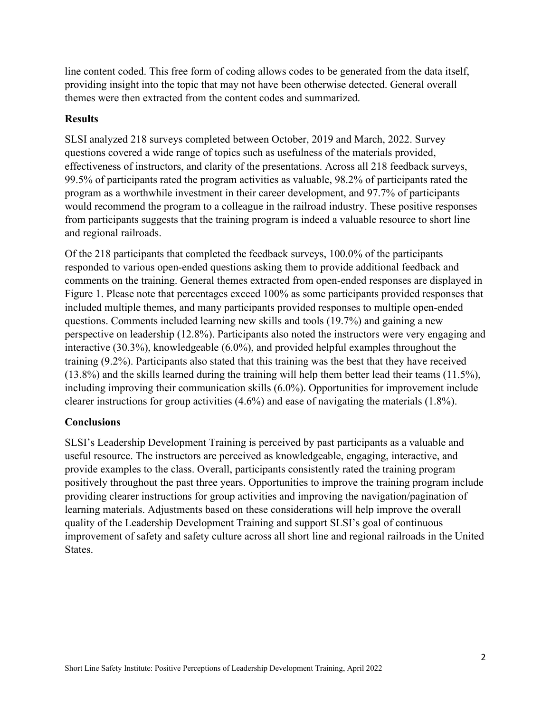line content coded. This free form of coding allows codes to be generated from the data itself, providing insight into the topic that may not have been otherwise detected. General overall themes were then extracted from the content codes and summarized.

#### **Results**

SLSI analyzed 218 surveys completed between October, 2019 and March, 2022. Survey questions covered a wide range of topics such as usefulness of the materials provided, effectiveness of instructors, and clarity of the presentations. Across all 218 feedback surveys, 99.5% of participants rated the program activities as valuable, 98.2% of participants rated the program as a worthwhile investment in their career development, and 97.7% of participants would recommend the program to a colleague in the railroad industry. These positive responses from participants suggests that the training program is indeed a valuable resource to short line and regional railroads.

Of the 218 participants that completed the feedback surveys, 100.0% of the participants responded to various open-ended questions asking them to provide additional feedback and comments on the training. General themes extracted from open-ended responses are displayed in Figure 1. Please note that percentages exceed 100% as some participants provided responses that included multiple themes, and many participants provided responses to multiple open-ended questions. Comments included learning new skills and tools (19.7%) and gaining a new perspective on leadership (12.8%). Participants also noted the instructors were very engaging and interactive (30.3%), knowledgeable (6.0%), and provided helpful examples throughout the training (9.2%). Participants also stated that this training was the best that they have received (13.8%) and the skills learned during the training will help them better lead their teams (11.5%), including improving their communication skills (6.0%). Opportunities for improvement include clearer instructions for group activities (4.6%) and ease of navigating the materials (1.8%).

## **Conclusions**

SLSI's Leadership Development Training is perceived by past participants as a valuable and useful resource. The instructors are perceived as knowledgeable, engaging, interactive, and provide examples to the class. Overall, participants consistently rated the training program positively throughout the past three years. Opportunities to improve the training program include providing clearer instructions for group activities and improving the navigation/pagination of learning materials. Adjustments based on these considerations will help improve the overall quality of the Leadership Development Training and support SLSI's goal of continuous improvement of safety and safety culture across all short line and regional railroads in the United States.